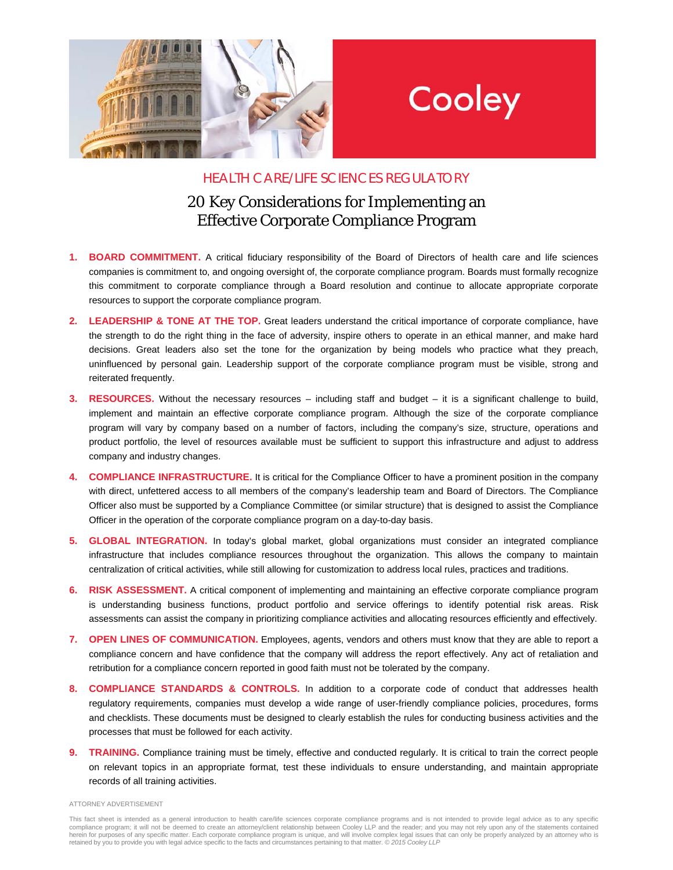

## Cooley

## HEALTH CARE/LIFE SCIENCES REGULATORY

## 20 Key Considerations for Implementing an Effective Corporate Compliance Program

- **1. BOARD COMMITMENT.** A critical fiduciary responsibility of the Board of Directors of health care and life sciences companies is commitment to, and ongoing oversight of, the corporate compliance program. Boards must formally recognize this commitment to corporate compliance through a Board resolution and continue to allocate appropriate corporate resources to support the corporate compliance program.
- **2. LEADERSHIP & TONE AT THE TOP.** Great leaders understand the critical importance of corporate compliance, have the strength to do the right thing in the face of adversity, inspire others to operate in an ethical manner, and make hard decisions. Great leaders also set the tone for the organization by being models who practice what they preach, uninfluenced by personal gain. Leadership support of the corporate compliance program must be visible, strong and reiterated frequently.
- **3. RESOURCES.** Without the necessary resources including staff and budget it is a significant challenge to build, implement and maintain an effective corporate compliance program. Although the size of the corporate compliance program will vary by company based on a number of factors, including the company's size, structure, operations and product portfolio, the level of resources available must be sufficient to support this infrastructure and adjust to address company and industry changes.
- **4. COMPLIANCE INFRASTRUCTURE.** It is critical for the Compliance Officer to have a prominent position in the company with direct, unfettered access to all members of the company's leadership team and Board of Directors. The Compliance Officer also must be supported by a Compliance Committee (or similar structure) that is designed to assist the Compliance Officer in the operation of the corporate compliance program on a day-to-day basis.
- **5. GLOBAL INTEGRATION.** In today's global market, global organizations must consider an integrated compliance infrastructure that includes compliance resources throughout the organization. This allows the company to maintain centralization of critical activities, while still allowing for customization to address local rules, practices and traditions.
- **6. RISK ASSESSMENT.** A critical component of implementing and maintaining an effective corporate compliance program is understanding business functions, product portfolio and service offerings to identify potential risk areas. Risk assessments can assist the company in prioritizing compliance activities and allocating resources efficiently and effectively.
- **7. OPEN LINES OF COMMUNICATION.** Employees, agents, vendors and others must know that they are able to report a compliance concern and have confidence that the company will address the report effectively. Any act of retaliation and retribution for a compliance concern reported in good faith must not be tolerated by the company.
- **8. COMPLIANCE STANDARDS & CONTROLS.** In addition to a corporate code of conduct that addresses health regulatory requirements, companies must develop a wide range of user-friendly compliance policies, procedures, forms and checklists. These documents must be designed to clearly establish the rules for conducting business activities and the processes that must be followed for each activity.
- **9. TRAINING.** Compliance training must be timely, effective and conducted regularly. It is critical to train the correct people on relevant topics in an appropriate format, test these individuals to ensure understanding, and maintain appropriate records of all training activities.

ATTORNEY ADVERTISEMENT

This fact sheet is intended as a general introduction to health care/life sciences corporate compliance programs and is not intended to provide legal advice as to any specific<br>compliance program; it will not be deemed to c herein for purposes of any specific matter. Each corporate compliance program is unique, and will involve complex legal issues that can only be properly analyzed by an attorney who is retained by you to provide you with legal advice specific to the facts and circumstances pertaining to that matter. *© 2015 Cooley LLP*